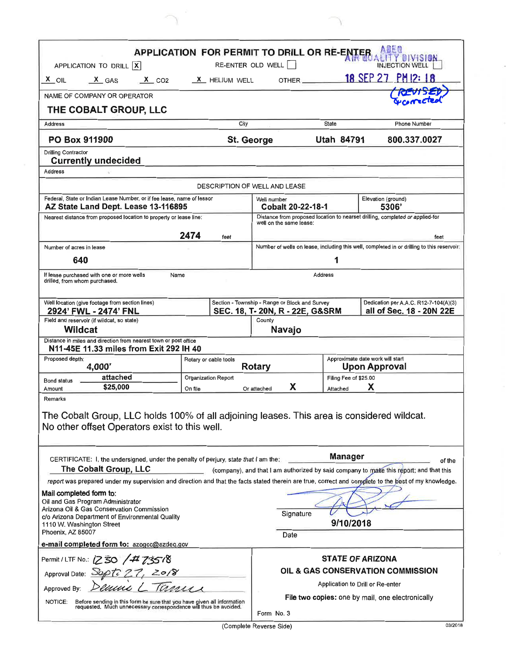|                                                                                                                                                              | <b>APPLICATION FOR PERMIT TO DRILL OR RE-ENTER</b> |                                                                                                          |                         |                                                                                                  |  |  |  |
|--------------------------------------------------------------------------------------------------------------------------------------------------------------|----------------------------------------------------|----------------------------------------------------------------------------------------------------------|-------------------------|--------------------------------------------------------------------------------------------------|--|--|--|
| APPLICATION TO DRILL  X                                                                                                                                      |                                                    | RE-ENTER OLD WELL                                                                                        |                         | <b>INJECTION WE</b>                                                                              |  |  |  |
| X OIL<br>$X_{CO2}$<br>$X_{GAS}$                                                                                                                              | X HELIUM WELL                                      | OTHER                                                                                                    |                         | <b>18 SEP 27</b>                                                                                 |  |  |  |
| NAME OF COMPANY OR OPERATOR                                                                                                                                  |                                                    |                                                                                                          |                         |                                                                                                  |  |  |  |
| THE COBALT GROUP, LLC                                                                                                                                        |                                                    |                                                                                                          |                         |                                                                                                  |  |  |  |
| <b>Address</b>                                                                                                                                               | City                                               | State                                                                                                    |                         | <b>Phone Number</b>                                                                              |  |  |  |
| <b>PO Box 911900</b>                                                                                                                                         | St. George                                         |                                                                                                          |                         | <b>Utah 84791</b><br>800.337.0027                                                                |  |  |  |
| <b>Drilling Contractor</b><br><b>Currently undecided</b>                                                                                                     |                                                    |                                                                                                          |                         |                                                                                                  |  |  |  |
| Address                                                                                                                                                      |                                                    |                                                                                                          |                         |                                                                                                  |  |  |  |
|                                                                                                                                                              | <b>DESCRIPTION OF WELL AND LEASE</b>               |                                                                                                          |                         |                                                                                                  |  |  |  |
| Federal, State or Indian Lease Number, or if fee lease, name of lessor<br>AZ State Land Dept. Lease 13-116895                                                |                                                    | Elevation (ground)<br>Well number<br>Cobalt 20-22-18-1<br>5306'                                          |                         |                                                                                                  |  |  |  |
| Nearest distance from proposed location to property or lease line:                                                                                           |                                                    | Distance from proposed location to nearset drilling, completed or applied-for<br>well on the same lease: |                         |                                                                                                  |  |  |  |
|                                                                                                                                                              |                                                    |                                                                                                          |                         |                                                                                                  |  |  |  |
| Number of acres in lease                                                                                                                                     | 2474<br>feet                                       | feet<br>Number of wells on lease, including this well, completed in or drilling to this reservoir:       |                         |                                                                                                  |  |  |  |
| 640                                                                                                                                                          |                                                    |                                                                                                          | 1                       |                                                                                                  |  |  |  |
| If lease purchased with one or more wells<br>drilled, from whom purchased.                                                                                   | Name                                               |                                                                                                          |                         | <b>Address</b>                                                                                   |  |  |  |
|                                                                                                                                                              |                                                    |                                                                                                          |                         |                                                                                                  |  |  |  |
| Well location (give footage from section lines)<br>2924' FWL - 2474' FNL                                                                                     |                                                    | Section - Township - Range or Block and Survey<br>SEC. 18, T- 20N, R - 22E, G&SRM                        |                         | Dedication per A.A.C. R12-7-104(A)(3)<br>all of Sec. 18 - 20N 22E                                |  |  |  |
| Field and reservoir (if wildcat, so state)                                                                                                                   |                                                    | County                                                                                                   |                         |                                                                                                  |  |  |  |
| <b>Wildcat</b><br>Distance in miles and direction from nearest town or post office                                                                           |                                                    | Navajo                                                                                                   |                         |                                                                                                  |  |  |  |
| N11-45E 11.33 miles from Exit 292 IH 40                                                                                                                      |                                                    |                                                                                                          |                         |                                                                                                  |  |  |  |
| Proposed depth:<br>4,000'                                                                                                                                    | Rotary or cable tools                              | <b>Rotary</b>                                                                                            |                         | Approximate date work will start<br><b>Upon Approval</b>                                         |  |  |  |
| attached<br><b>Bond status</b>                                                                                                                               | Organization Report                                |                                                                                                          | Filing Fee of \$25.00   |                                                                                                  |  |  |  |
| \$25,000<br>Amount                                                                                                                                           | On file                                            | X<br>Or attached                                                                                         | Attached                | x                                                                                                |  |  |  |
| Remarks<br>The Cobalt Group, LLC holds 100% of all adjoining leases. This area is considered wildcat.<br>No other offset Operators exist to this well.       |                                                    |                                                                                                          |                         |                                                                                                  |  |  |  |
| CERTIFICATE: I, the undersigned, under the penalty of perjury, state that I am the:<br>The Cobalt Group, LLC                                                 |                                                    |                                                                                                          | <b>Manager</b>          | of the<br>(company), and that I am authorized by said company to make this report; and that this |  |  |  |
| report was prepared under my supervision and direction and that the facts stated therein are true, correct and complete to the best of my knowledge.         |                                                    |                                                                                                          |                         |                                                                                                  |  |  |  |
| Mail completed form to:<br>Oil and Gas Program Administrator<br>Arizona Oil & Gas Conservation Commission<br>c/o Arizona Department of Environmental Quality |                                                    | Signature                                                                                                |                         |                                                                                                  |  |  |  |
| 1110 W. Washington Street<br>Phoenix, AZ 85007                                                                                                               |                                                    | Date                                                                                                     | 9/10/2018               |                                                                                                  |  |  |  |
| e-mail completed form to: azogcc@azdeq.gov                                                                                                                   |                                                    |                                                                                                          |                         |                                                                                                  |  |  |  |
| Permit / LTF No.: (2 30 / 4 735/8                                                                                                                            |                                                    |                                                                                                          | <b>STATE OF ARIZONA</b> |                                                                                                  |  |  |  |
| Approval Date: SopTc 27,                                                                                                                                     | OIL & GAS CONSERVATION COMMISSION                  |                                                                                                          |                         |                                                                                                  |  |  |  |
| mmi<br>Approved By:                                                                                                                                          |                                                    |                                                                                                          |                         | Application to Drill or Re-enter                                                                 |  |  |  |
| NOTICE:                                                                                                                                                      |                                                    |                                                                                                          |                         | File two copies: one by mail, one electronically                                                 |  |  |  |
| Before sending in this form be sure that you have given all information<br>requested. Much unnecessary correspondence will thus be avoided.                  |                                                    | Form No. 3                                                                                               |                         |                                                                                                  |  |  |  |

ŷ.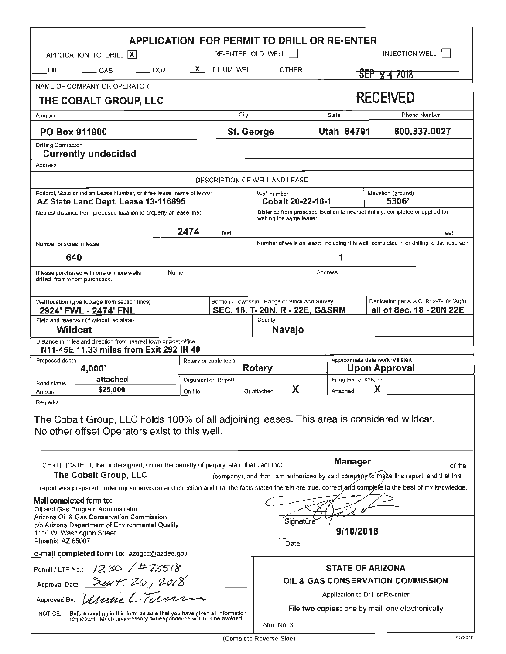| <b>APPLICATION FOR PERMIT TO DRILL OR RE-ENTER</b>                                                                                                                                                                       |                                                                                                          |                                                                                                                                                        |                       |                                                                                                  |  |  |  |  |
|--------------------------------------------------------------------------------------------------------------------------------------------------------------------------------------------------------------------------|----------------------------------------------------------------------------------------------------------|--------------------------------------------------------------------------------------------------------------------------------------------------------|-----------------------|--------------------------------------------------------------------------------------------------|--|--|--|--|
| APPLICATION TO DRILL  X                                                                                                                                                                                                  |                                                                                                          | RE-ENTER OLD WELL                                                                                                                                      | <b>INJECTION WELL</b> |                                                                                                  |  |  |  |  |
| OIL<br>CO2<br>GAS                                                                                                                                                                                                        | X HELIUM WELL                                                                                            | $O$ THER $\_\_$                                                                                                                                        |                       | SEP<br>$-24.2018$                                                                                |  |  |  |  |
| NAME OF COMPANY OR OPERATOR                                                                                                                                                                                              |                                                                                                          |                                                                                                                                                        |                       |                                                                                                  |  |  |  |  |
| THE COBALT GROUP, LLC                                                                                                                                                                                                    |                                                                                                          |                                                                                                                                                        |                       | <b>RECEIVED</b>                                                                                  |  |  |  |  |
| Address                                                                                                                                                                                                                  | City                                                                                                     |                                                                                                                                                        | Slate                 | <b>Phone Number</b>                                                                              |  |  |  |  |
| <b>PO Box 911900</b>                                                                                                                                                                                                     | St. George                                                                                               | 800.337.0027<br><b>Utah 84791</b>                                                                                                                      |                       |                                                                                                  |  |  |  |  |
| Drilling Contractor<br><b>Currently undecided</b>                                                                                                                                                                        |                                                                                                          |                                                                                                                                                        |                       |                                                                                                  |  |  |  |  |
| Address                                                                                                                                                                                                                  |                                                                                                          |                                                                                                                                                        |                       |                                                                                                  |  |  |  |  |
|                                                                                                                                                                                                                          |                                                                                                          | DESCRIPTION OF WELL AND LEASE                                                                                                                          |                       |                                                                                                  |  |  |  |  |
| Federal, State or Indian Lease Number, or if fee lease, name of lessor<br>AZ State Land Dept. Lease 13-116895                                                                                                            |                                                                                                          | Elevation (ground)<br>Well number<br>Cobalt 20-22-18-1<br>5306'                                                                                        |                       |                                                                                                  |  |  |  |  |
| Nearest distance from proposed location to property or lease line:                                                                                                                                                       | Distance from proposed location to nearset drilling, completed or applied-for<br>well on the same lease: |                                                                                                                                                        |                       |                                                                                                  |  |  |  |  |
|                                                                                                                                                                                                                          | 2474<br>feet                                                                                             |                                                                                                                                                        |                       | feet                                                                                             |  |  |  |  |
| Number of acres in lease                                                                                                                                                                                                 |                                                                                                          |                                                                                                                                                        |                       | Number of wells on lease, including this well, completed in or drilling to this reservoir:       |  |  |  |  |
| 640                                                                                                                                                                                                                      |                                                                                                          |                                                                                                                                                        |                       | 1                                                                                                |  |  |  |  |
| If lease purchased with one or more wells<br>Name<br>drilled, from whom purchased.                                                                                                                                       |                                                                                                          |                                                                                                                                                        | Address               |                                                                                                  |  |  |  |  |
| Well location (give footage from section lines)<br>2924' FWL - 2474' FNL                                                                                                                                                 |                                                                                                          | Dedication per A.A.C. R12-7-104(A)(3)<br>Section - Township - Range or Block and Survey<br>all of Sec. 18 - 20N 22E<br>SEC. 18, T- 20N, R - 22E, G&SRM |                       |                                                                                                  |  |  |  |  |
| Field and reservoir (if wildcat, so state)<br><b>Wildcat</b>                                                                                                                                                             |                                                                                                          | County<br><b>Navajo</b>                                                                                                                                |                       |                                                                                                  |  |  |  |  |
| Distance in miles and direction from nearest town or post office<br>N11-45E 11.33 miles from Exit 292 IH 40                                                                                                              |                                                                                                          |                                                                                                                                                        |                       |                                                                                                  |  |  |  |  |
| Proposed depth:<br>4,000'                                                                                                                                                                                                | Rotary or cable tools                                                                                    | Rotary                                                                                                                                                 |                       | Approximate date work will start<br>Upon Approval                                                |  |  |  |  |
| attached<br>Bond status                                                                                                                                                                                                  | Organization Report                                                                                      |                                                                                                                                                        | Filing Fee of \$25,00 |                                                                                                  |  |  |  |  |
| \$25,000<br>Ampunt                                                                                                                                                                                                       | On file                                                                                                  | X<br>Or attached                                                                                                                                       | x<br>Attached         |                                                                                                  |  |  |  |  |
| Remarks<br>The Cobalt Group, LLC holds 100% of all adjoining leases. This area is considered wildcat.<br>No other offset Operators exist to this well.                                                                   |                                                                                                          |                                                                                                                                                        |                       |                                                                                                  |  |  |  |  |
| CERTIFICATE: I, the undersigned, under the penalty of perjury, state that I am the:<br>The Cobalt Group, LLC                                                                                                             |                                                                                                          |                                                                                                                                                        | <b>Manager</b>        | of the<br>(company), and that I am authorized by said company to make this report; and that this |  |  |  |  |
| report was prepared under my supervision and direction and that the facts stated therein are true, correct and complete to the best of my knowledge.                                                                     |                                                                                                          |                                                                                                                                                        |                       |                                                                                                  |  |  |  |  |
| Mail completed form to:<br>Oil and Gas Program Administrator<br>Arizona Oil & Gas Conservation Commission                                                                                                                |                                                                                                          | Sianatu                                                                                                                                                |                       |                                                                                                  |  |  |  |  |
| c/o Arizona Department of Environmental Quality<br>1110 W. Washington Street<br>Phoenix, AZ 85007                                                                                                                        |                                                                                                          |                                                                                                                                                        | 9/10/2018             |                                                                                                  |  |  |  |  |
| e-mail completed form to: azogcc@azdeq.gov                                                                                                                                                                               |                                                                                                          | Date                                                                                                                                                   |                       |                                                                                                  |  |  |  |  |
|                                                                                                                                                                                                                          |                                                                                                          |                                                                                                                                                        |                       | <b>STATE OF ARIZONA</b>                                                                          |  |  |  |  |
| Permit/LTF No.: 1230 / #73518<br>Approval Date: <u>Sent</u> T. 20, 2018<br>Approved By: <i>Ulturia L. Tutenna</i>                                                                                                        | OIL & GAS CONSERVATION COMMISSION                                                                        |                                                                                                                                                        |                       |                                                                                                  |  |  |  |  |
| Application to Drill or Re-enter                                                                                                                                                                                         |                                                                                                          |                                                                                                                                                        |                       |                                                                                                  |  |  |  |  |
| File two copies: one by mail, one electronically<br>Before sending in this form be sure that you have given all information<br>NOTICE:<br>requested. Much unnecessary correspondence will thus be avoided.<br>Form No. 3 |                                                                                                          |                                                                                                                                                        |                       |                                                                                                  |  |  |  |  |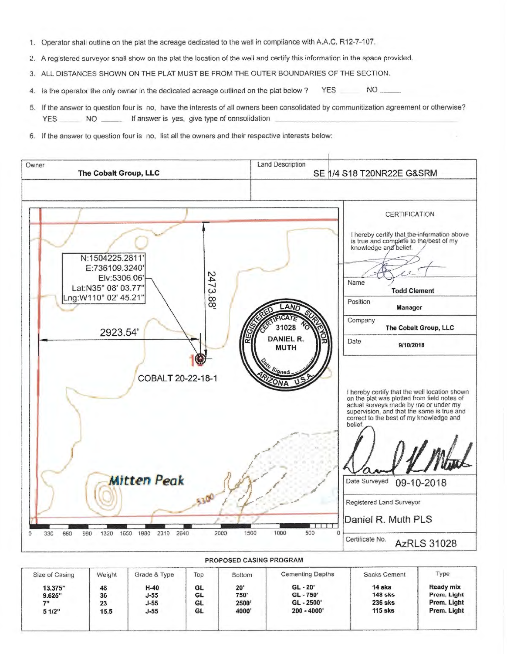- 1. Operator shall outline on the plat the acreage dedicated to the well in compliance with A.A.C. R12-7-107.
- 2. A registered surveyor shall show on the plat the location of the well and certify this information in the space provided.
- 3. ALL DISTANCES SHOWN ON THE PLAT MUST BE FROM THE OUTER BOUNDARIES OF THE SECTION.
- 4. Is the operator the only owner in the dedicated acreage outlined on the plat below ? YES NO
- 5. If the answer to question four is no. have the interests of all owners been consolidated by communitization agreement or otherwise? YES NO If answer is yes, give type of consolidation
- 6. If the answer to question four is no, list all the owners and their respective interests below:



PROPOSED **CASING PROGRAM** 

| Size of Casing | Weight     | Grade & Type       | Top       | Bottom        | <b>Cementing Depths</b> | Sacks Cement                     | Type                       |
|----------------|------------|--------------------|-----------|---------------|-------------------------|----------------------------------|----------------------------|
| 13.375"        | 48         | $H-40$             | GL        | 20'           | $GL - 20'$              | 14 sks                           | Ready mix                  |
| 9.625"<br>711  | 36         | $J-55$             | <b>GL</b> | 750'          | $GL - 750'$<br>GL-2500' | <b>148 sks</b><br><b>236 sks</b> | Prem. Light<br>Prem. Light |
| 51/2"          | 23<br>15.5 | $J-55$<br>$J - 55$ | GL<br>GL  | 2500'<br>4000 | $200 - 4000'$           | <b>115 sks</b>                   | Prem. Light                |
|                |            |                    |           |               |                         |                                  |                            |
|                |            |                    |           |               |                         |                                  |                            |